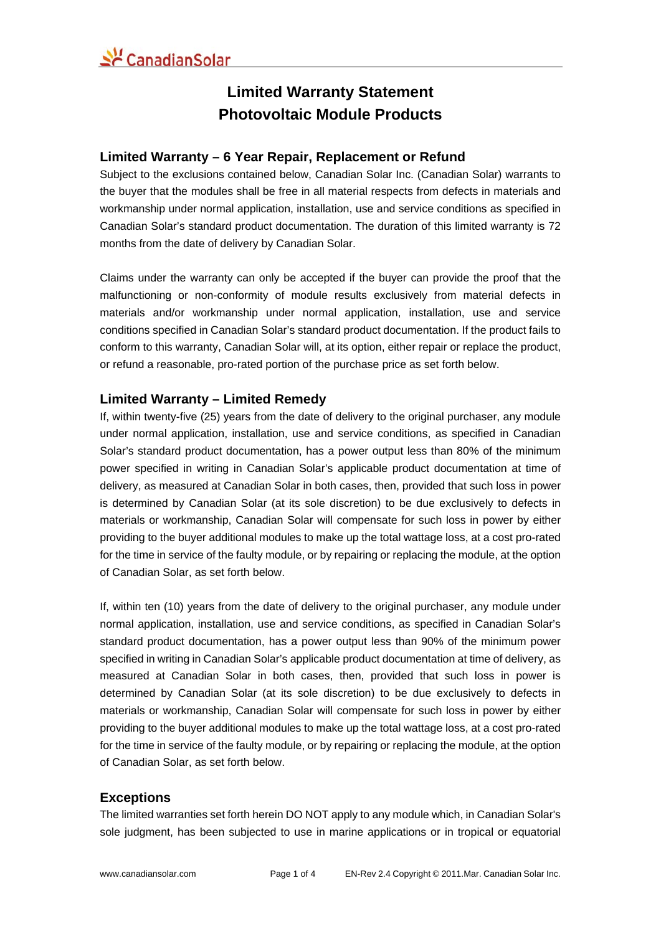### **Limited Warranty Statement Photovoltaic Module Products**

#### **Limited Warranty – 6 Year Repair, Replacement or Refund**

Subject to the exclusions contained below, Canadian Solar Inc. (Canadian Solar) warrants to the buyer that the modules shall be free in all material respects from defects in materials and workmanship under normal application, installation, use and service conditions as specified in Canadian Solar's standard product documentation. The duration of this limited warranty is 72 months from the date of delivery by Canadian Solar.

Claims under the warranty can only be accepted if the buyer can provide the proof that the malfunctioning or non-conformity of module results exclusively from material defects in materials and/or workmanship under normal application, installation, use and service conditions specified in Canadian Solar's standard product documentation. If the product fails to conform to this warranty, Canadian Solar will, at its option, either repair or replace the product, or refund a reasonable, pro-rated portion of the purchase price as set forth below.

### **Limited Warranty – Limited Remedy**

If, within twenty-five (25) years from the date of delivery to the original purchaser, any module under normal application, installation, use and service conditions, as specified in Canadian Solar's standard product documentation, has a power output less than 80% of the minimum power specified in writing in Canadian Solar's applicable product documentation at time of delivery, as measured at Canadian Solar in both cases, then, provided that such loss in power is determined by Canadian Solar (at its sole discretion) to be due exclusively to defects in materials or workmanship, Canadian Solar will compensate for such loss in power by either providing to the buyer additional modules to make up the total wattage loss, at a cost pro-rated for the time in service of the faulty module, or by repairing or replacing the module, at the option of Canadian Solar, as set forth below.

If, within ten (10) years from the date of delivery to the original purchaser, any module under normal application, installation, use and service conditions, as specified in Canadian Solar's standard product documentation, has a power output less than 90% of the minimum power specified in writing in Canadian Solar's applicable product documentation at time of delivery, as measured at Canadian Solar in both cases, then, provided that such loss in power is determined by Canadian Solar (at its sole discretion) to be due exclusively to defects in materials or workmanship, Canadian Solar will compensate for such loss in power by either providing to the buyer additional modules to make up the total wattage loss, at a cost pro-rated for the time in service of the faulty module, or by repairing or replacing the module, at the option of Canadian Solar, as set forth below.

#### **Exceptions**

The limited warranties set forth herein DO NOT apply to any module which, in Canadian Solar's sole judgment, has been subjected to use in marine applications or in tropical or equatorial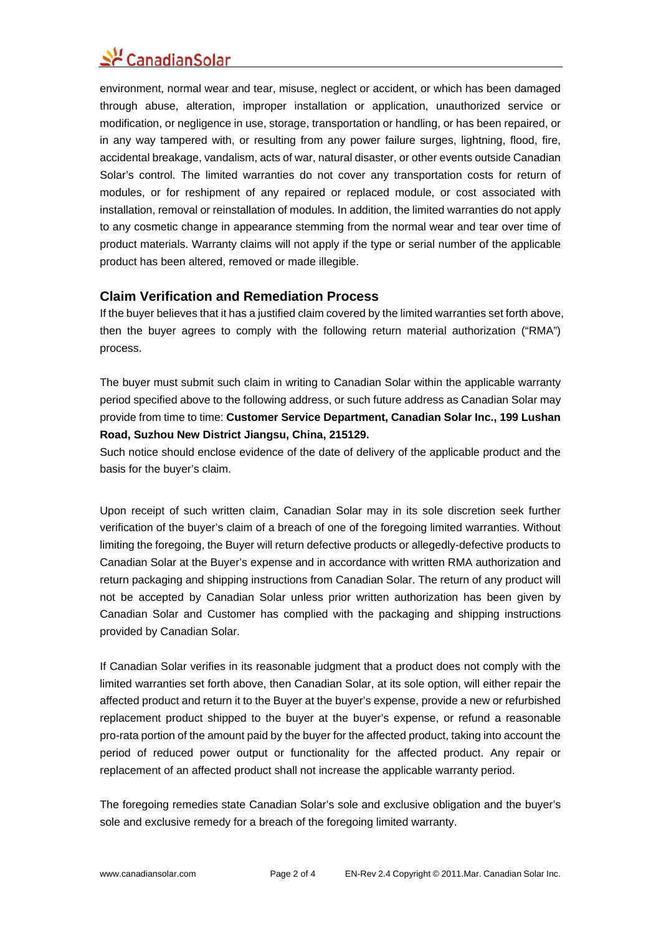# $\mathcal{L}$  Canadian Solar

environment, normal wear and tear, misuse, neglect or accident, or which has been damaged through abuse, alteration, improper installation or application, unauthorized service or modification, or negligence in use, storage, transportation or handling, or has been repaired, or in any way tampered with, or resulting from any power failure surges, lightning, flood, fire, accidental breakage, vandalism, acts of war, natural disaster, or other events outside Canadian Solar's control. The limited warranties do not cover any transportation costs for return of modules, or for reshipment of any repaired or replaced module, or cost associated with installation, removal or reinstallation of modules. In addition, the limited warranties do not apply to any cosmetic change in appearance stemming from the normal wear and tear over time of product materials. Warranty claims will not apply if the type or serial number of the applicable product has been altered, removed or made illegible.

#### **Claim Verification and Remediation Process**

If the buyer believes that it has a justified claim covered by the limited warranties set forth above, then the buyer agrees to comply with the following return material authorization ("RMA") process.

The buyer must submit such claim in writing to Canadian Solar within the applicable warranty period specified above to the following address, or such future address as Canadian Solar may provide from time to time: **Customer Service Department, Canadian Solar Inc., 199 Lushan Road, Suzhou New District Jiangsu, China, 215129.** 

Such notice should enclose evidence of the date of delivery of the applicable product and the basis for the buyer's claim.

Upon receipt of such written claim, Canadian Solar may in its sole discretion seek further verification of the buyer's claim of a breach of one of the foregoing limited warranties. Without limiting the foregoing, the Buyer will return defective products or allegedly-defective products to Canadian Solar at the Buyer's expense and in accordance with written RMA authorization and return packaging and shipping instructions from Canadian Solar. The return of any product will not be accepted by Canadian Solar unless prior written authorization has been given by Canadian Solar and Customer has complied with the packaging and shipping instructions provided by Canadian Solar.

If Canadian Solar verifies in its reasonable judgment that a product does not comply with the limited warranties set forth above, then Canadian Solar, at its sole option, will either repair the affected product and return it to the Buyer at the buyer's expense, provide a new or refurbished replacement product shipped to the buyer at the buyer's expense, or refund a reasonable pro-rata portion of the amount paid by the buyer for the affected product, taking into account the period of reduced power output or functionality for the affected product. Any repair or replacement of an affected product shall not increase the applicable warranty period.

The foregoing remedies state Canadian Solar's sole and exclusive obligation and the buyer's sole and exclusive remedy for a breach of the foregoing limited warranty.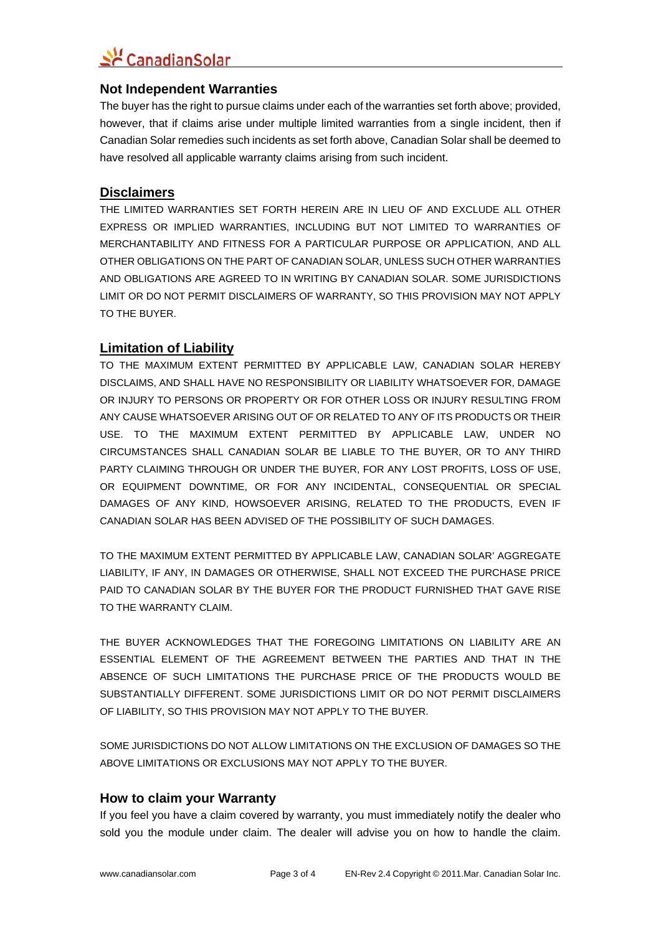## 소년 CanadianSolar

#### **Not Independent Warranties**

The buyer has the right to pursue claims under each of the warranties set forth above; provided, however, that if claims arise under multiple limited warranties from a single incident, then if Canadian Solar remedies such incidents as set forth above, Canadian Solar shall be deemed to have resolved all applicable warranty claims arising from such incident.

### **Disclaimers**

THE LIMITED WARRANTIES SET FORTH HEREIN ARE IN LIEU OF AND EXCLUDE ALL OTHER EXPRESS OR IMPLIED WARRANTIES, INCLUDING BUT NOT LIMITED TO WARRANTIES OF MERCHANTABILITY AND FITNESS FOR A PARTICULAR PURPOSE OR APPLICATION, AND ALL OTHER OBLIGATIONS ON THE PART OF CANADIAN SOLAR, UNLESS SUCH OTHER WARRANTIES AND OBLIGATIONS ARE AGREED TO IN WRITING BY CANADIAN SOLAR. SOME JURISDICTIONS LIMIT OR DO NOT PERMIT DISCLAIMERS OF WARRANTY, SO THIS PROVISION MAY NOT APPLY TO THE BUYER.

### **Limitation of Liability**

TO THE MAXIMUM EXTENT PERMITTED BY APPLICABLE LAW, CANADIAN SOLAR HEREBY DISCLAIMS, AND SHALL HAVE NO RESPONSIBILITY OR LIABILITY WHATSOEVER FOR, DAMAGE OR INJURY TO PERSONS OR PROPERTY OR FOR OTHER LOSS OR INJURY RESULTING FROM ANY CAUSE WHATSOEVER ARISING OUT OF OR RELATED TO ANY OF ITS PRODUCTS OR THEIR USE. TO THE MAXIMUM EXTENT PERMITTED BY APPLICABLE LAW, UNDER NO CIRCUMSTANCES SHALL CANADIAN SOLAR BE LIABLE TO THE BUYER, OR TO ANY THIRD PARTY CLAIMING THROUGH OR UNDER THE BUYER, FOR ANY LOST PROFITS, LOSS OF USE, OR EQUIPMENT DOWNTIME, OR FOR ANY INCIDENTAL, CONSEQUENTIAL OR SPECIAL DAMAGES OF ANY KIND, HOWSOEVER ARISING, RELATED TO THE PRODUCTS, EVEN IF CANADIAN SOLAR HAS BEEN ADVISED OF THE POSSIBILITY OF SUCH DAMAGES.

TO THE MAXIMUM EXTENT PERMITTED BY APPLICABLE LAW, CANADIAN SOLAR' AGGREGATE LIABILITY, IF ANY, IN DAMAGES OR OTHERWISE, SHALL NOT EXCEED THE PURCHASE PRICE PAID TO CANADIAN SOLAR BY THE BUYER FOR THE PRODUCT FURNISHED THAT GAVE RISE TO THE WARRANTY CLAIM.

THE BUYER ACKNOWLEDGES THAT THE FOREGOING LIMITATIONS ON LIABILITY ARE AN ESSENTIAL ELEMENT OF THE AGREEMENT BETWEEN THE PARTIES AND THAT IN THE ABSENCE OF SUCH LIMITATIONS THE PURCHASE PRICE OF THE PRODUCTS WOULD BE SUBSTANTIALLY DIFFERENT. SOME JURISDICTIONS LIMIT OR DO NOT PERMIT DISCLAIMERS OF LIABILITY, SO THIS PROVISION MAY NOT APPLY TO THE BUYER.

SOME JURISDICTIONS DO NOT ALLOW LIMITATIONS ON THE EXCLUSION OF DAMAGES SO THE ABOVE LIMITATIONS OR EXCLUSIONS MAY NOT APPLY TO THE BUYER.

#### **How to claim your Warranty**

If you feel you have a claim covered by warranty, you must immediately notify the dealer who sold you the module under claim. The dealer will advise you on how to handle the claim.